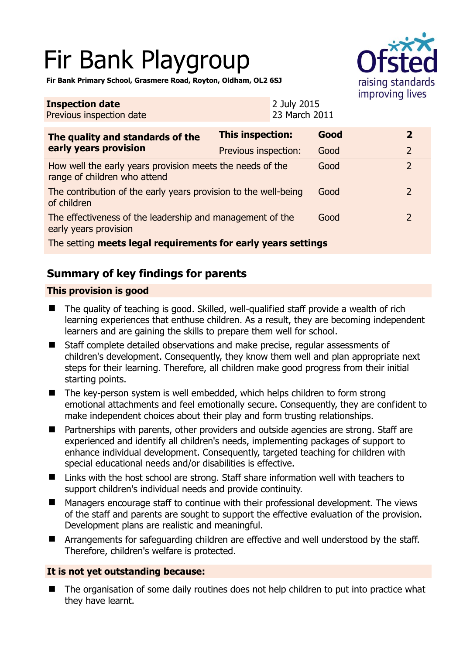# Fir Bank Playgroup



**Fir Bank Primary School, Grasmere Road, Royton, Oldham, OL2 6SJ** 

| <b>Inspection date</b><br>Previous inspection date                                        |                         | 2 July 2015<br>23 March 2011 |      |  |                |
|-------------------------------------------------------------------------------------------|-------------------------|------------------------------|------|--|----------------|
| The quality and standards of the<br>early years provision                                 | <b>This inspection:</b> |                              | Good |  | $\overline{2}$ |
|                                                                                           | Previous inspection:    |                              | Good |  | 2              |
| How well the early years provision meets the needs of the<br>range of children who attend |                         |                              | Good |  | $\overline{2}$ |
| The contribution of the early years provision to the well-being<br>of children            |                         |                              | Good |  | 2              |
| The effectiveness of the leadership and management of the<br>early years provision        |                         |                              | Good |  | 2              |
| The setting meets legal requirements for early years settings                             |                         |                              |      |  |                |

# **Summary of key findings for parents**

## **This provision is good**

- The quality of teaching is good. Skilled, well-qualified staff provide a wealth of rich learning experiences that enthuse children. As a result, they are becoming independent learners and are gaining the skills to prepare them well for school.
- Staff complete detailed observations and make precise, regular assessments of children's development. Consequently, they know them well and plan appropriate next steps for their learning. Therefore, all children make good progress from their initial starting points.
- The key-person system is well embedded, which helps children to form strong emotional attachments and feel emotionally secure. Consequently, they are confident to make independent choices about their play and form trusting relationships.
- Partnerships with parents, other providers and outside agencies are strong. Staff are experienced and identify all children's needs, implementing packages of support to enhance individual development. Consequently, targeted teaching for children with special educational needs and/or disabilities is effective.
- Links with the host school are strong. Staff share information well with teachers to support children's individual needs and provide continuity.
- Managers encourage staff to continue with their professional development. The views of the staff and parents are sought to support the effective evaluation of the provision. Development plans are realistic and meaningful.
- **E** Arrangements for safeguarding children are effective and well understood by the staff. Therefore, children's welfare is protected.

## **It is not yet outstanding because:**

■ The organisation of some daily routines does not help children to put into practice what they have learnt.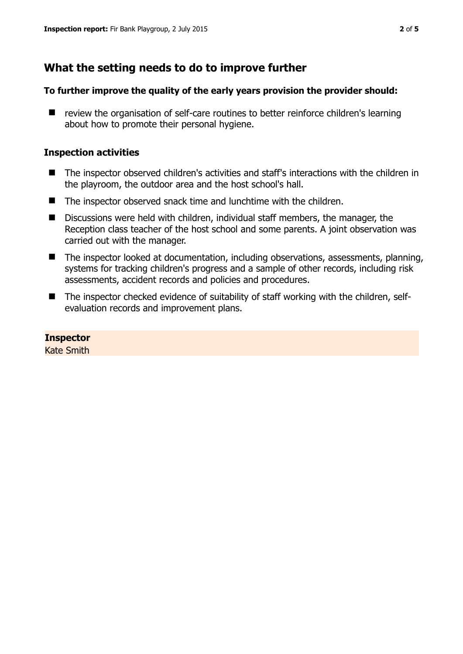# **What the setting needs to do to improve further**

#### **To further improve the quality of the early years provision the provider should:**

■ review the organisation of self-care routines to better reinforce children's learning about how to promote their personal hygiene.

#### **Inspection activities**

- The inspector observed children's activities and staff's interactions with the children in the playroom, the outdoor area and the host school's hall.
- The inspector observed snack time and lunchtime with the children.
- Discussions were held with children, individual staff members, the manager, the Reception class teacher of the host school and some parents. A joint observation was carried out with the manager.
- The inspector looked at documentation, including observations, assessments, planning, systems for tracking children's progress and a sample of other records, including risk assessments, accident records and policies and procedures.
- The inspector checked evidence of suitability of staff working with the children, selfevaluation records and improvement plans.

## **Inspector**

Kate Smith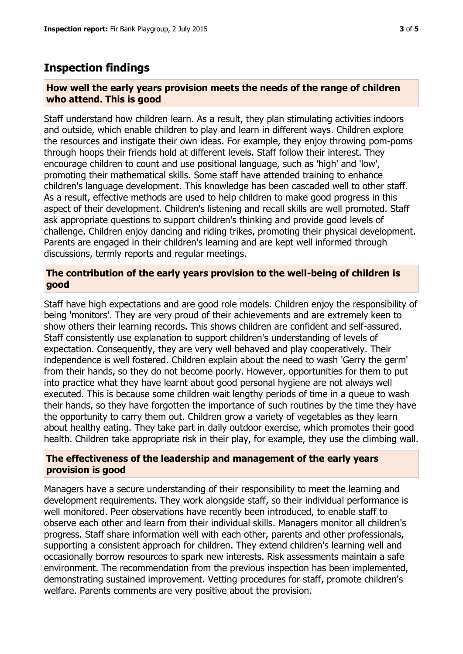# **Inspection findings**

#### **How well the early years provision meets the needs of the range of children who attend. This is good**

Staff understand how children learn. As a result, they plan stimulating activities indoors and outside, which enable children to play and learn in different ways. Children explore the resources and instigate their own ideas. For example, they enjoy throwing pom-poms through hoops their friends hold at different levels. Staff follow their interest. They encourage children to count and use positional language, such as 'high' and 'low', promoting their mathematical skills. Some staff have attended training to enhance children's language development. This knowledge has been cascaded well to other staff. As a result, effective methods are used to help children to make good progress in this aspect of their development. Children's listening and recall skills are well promoted. Staff ask appropriate questions to support children's thinking and provide good levels of challenge. Children enjoy dancing and riding trikes, promoting their physical development. Parents are engaged in their children's learning and are kept well informed through discussions, termly reports and regular meetings.

### **The contribution of the early years provision to the well-being of children is good**

Staff have high expectations and are good role models. Children enjoy the responsibility of being 'monitors'. They are very proud of their achievements and are extremely keen to show others their learning records. This shows children are confident and self-assured. Staff consistently use explanation to support children's understanding of levels of expectation. Consequently, they are very well behaved and play cooperatively. Their independence is well fostered. Children explain about the need to wash 'Gerry the germ' from their hands, so they do not become poorly. However, opportunities for them to put into practice what they have learnt about good personal hygiene are not always well executed. This is because some children wait lengthy periods of time in a queue to wash their hands, so they have forgotten the importance of such routines by the time they have the opportunity to carry them out. Children grow a variety of vegetables as they learn about healthy eating. They take part in daily outdoor exercise, which promotes their good health. Children take appropriate risk in their play, for example, they use the climbing wall.

#### **The effectiveness of the leadership and management of the early years provision is good**

Managers have a secure understanding of their responsibility to meet the learning and development requirements. They work alongside staff, so their individual performance is well monitored. Peer observations have recently been introduced, to enable staff to observe each other and learn from their individual skills. Managers monitor all children's progress. Staff share information well with each other, parents and other professionals, supporting a consistent approach for children. They extend children's learning well and occasionally borrow resources to spark new interests. Risk assessments maintain a safe environment. The recommendation from the previous inspection has been implemented, demonstrating sustained improvement. Vetting procedures for staff, promote children's welfare. Parents comments are very positive about the provision.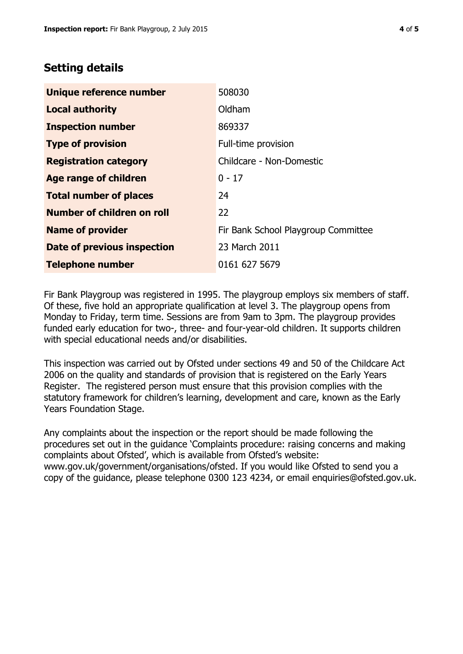## **Setting details**

| Unique reference number       | 508030                              |
|-------------------------------|-------------------------------------|
| <b>Local authority</b>        | Oldham                              |
| <b>Inspection number</b>      | 869337                              |
| <b>Type of provision</b>      | Full-time provision                 |
| <b>Registration category</b>  | Childcare - Non-Domestic            |
| Age range of children         | $0 - 17$                            |
| <b>Total number of places</b> | 24                                  |
| Number of children on roll    | 22                                  |
| <b>Name of provider</b>       | Fir Bank School Playgroup Committee |
| Date of previous inspection   | 23 March 2011                       |
| <b>Telephone number</b>       | 0161 627 5679                       |

Fir Bank Playgroup was registered in 1995. The playgroup employs six members of staff. Of these, five hold an appropriate qualification at level 3. The playgroup opens from Monday to Friday, term time. Sessions are from 9am to 3pm. The playgroup provides funded early education for two-, three- and four-year-old children. It supports children with special educational needs and/or disabilities.

This inspection was carried out by Ofsted under sections 49 and 50 of the Childcare Act 2006 on the quality and standards of provision that is registered on the Early Years Register. The registered person must ensure that this provision complies with the statutory framework for children's learning, development and care, known as the Early Years Foundation Stage.

Any complaints about the inspection or the report should be made following the procedures set out in the guidance 'Complaints procedure: raising concerns and making complaints about Ofsted', which is available from Ofsted's website: www.gov.uk/government/organisations/ofsted. If you would like Ofsted to send you a copy of the guidance, please telephone 0300 123 4234, or email enquiries@ofsted.gov.uk.